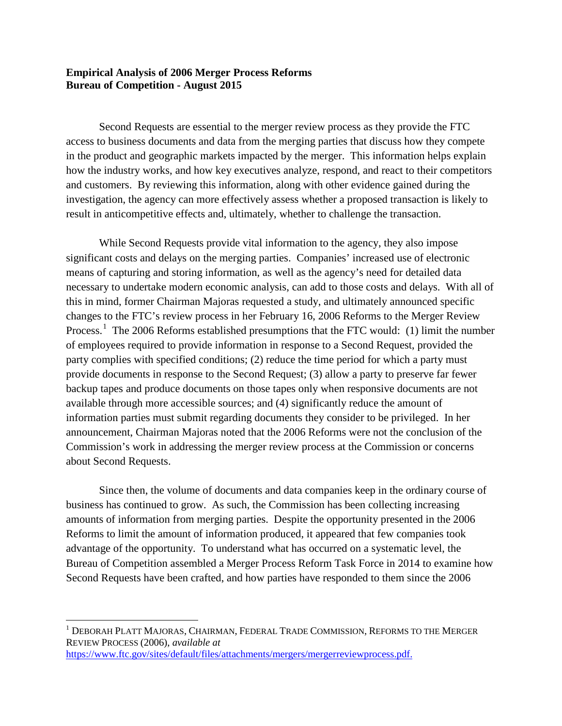## **Empirical Analysis of 2006 Merger Process Reforms Bureau of Competition - August 2015**

Second Requests are essential to the merger review process as they provide the FTC access to business documents and data from the merging parties that discuss how they compete in the product and geographic markets impacted by the merger. This information helps explain how the industry works, and how key executives analyze, respond, and react to their competitors and customers. By reviewing this information, along with other evidence gained during the investigation, the agency can more effectively assess whether a proposed transaction is likely to result in anticompetitive effects and, ultimately, whether to challenge the transaction.

While Second Requests provide vital information to the agency, they also impose significant costs and delays on the merging parties. Companies' increased use of electronic means of capturing and storing information, as well as the agency's need for detailed data necessary to undertake modern economic analysis, can add to those costs and delays. With all of this in mind, former Chairman Majoras requested a study, and ultimately announced specific changes to the FTC's review process in her February 16, 2006 Reforms to the Merger Review Process.<sup>[1](#page-0-0)</sup> The 2006 Reforms established presumptions that the FTC would: (1) limit the number of employees required to provide information in response to a Second Request, provided the party complies with specified conditions; (2) reduce the time period for which a party must provide documents in response to the Second Request; (3) allow a party to preserve far fewer backup tapes and produce documents on those tapes only when responsive documents are not available through more accessible sources; and (4) significantly reduce the amount of information parties must submit regarding documents they consider to be privileged. In her announcement, Chairman Majoras noted that the 2006 Reforms were not the conclusion of the Commission's work in addressing the merger review process at the Commission or concerns about Second Requests.

Since then, the volume of documents and data companies keep in the ordinary course of business has continued to grow. As such, the Commission has been collecting increasing amounts of information from merging parties. Despite the opportunity presented in the 2006 Reforms to limit the amount of information produced, it appeared that few companies took advantage of the opportunity. To understand what has occurred on a systematic level, the Bureau of Competition assembled a Merger Process Reform Task Force in 2014 to examine how Second Requests have been crafted, and how parties have responded to them since the 2006

 $\overline{\phantom{a}}$ 

<span id="page-0-0"></span><sup>1</sup> DEBORAH PLATT MAJORAS, CHAIRMAN, FEDERAL TRADE COMMISSION, REFORMS TO THE MERGER REVIEW PROCESS (2006), *available at* [https://www.ftc.gov/sites/default/files/attachments/mergers/mergerreviewprocess.pdf.](https://www.ftc.gov/sites/default/files/attachments/mergers/mergerreviewprocess.pdf)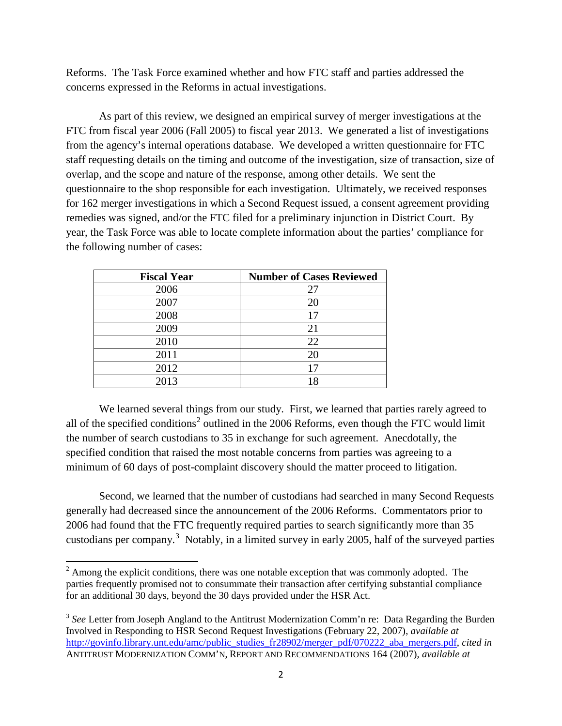Reforms. The Task Force examined whether and how FTC staff and parties addressed the concerns expressed in the Reforms in actual investigations.

As part of this review, we designed an empirical survey of merger investigations at the FTC from fiscal year 2006 (Fall 2005) to fiscal year 2013. We generated a list of investigations from the agency's internal operations database. We developed a written questionnaire for FTC staff requesting details on the timing and outcome of the investigation, size of transaction, size of overlap, and the scope and nature of the response, among other details. We sent the questionnaire to the shop responsible for each investigation. Ultimately, we received responses for 162 merger investigations in which a Second Request issued, a consent agreement providing remedies was signed, and/or the FTC filed for a preliminary injunction in District Court. By year, the Task Force was able to locate complete information about the parties' compliance for the following number of cases:

| <b>Fiscal Year</b> | <b>Number of Cases Reviewed</b> |
|--------------------|---------------------------------|
| 2006               | 27                              |
| 2007               | 20                              |
| 2008               | 17                              |
| 2009               | 21                              |
| 2010               | 22                              |
| 2011               | 20                              |
| 2012               | 17                              |
| 2013               |                                 |

We learned several things from our study. First, we learned that parties rarely agreed to all of the specified conditions<sup>[2](#page-1-0)</sup> outlined in the 2006 Reforms, even though the FTC would limit the number of search custodians to 35 in exchange for such agreement. Anecdotally, the specified condition that raised the most notable concerns from parties was agreeing to a minimum of 60 days of post-complaint discovery should the matter proceed to litigation.

Second, we learned that the number of custodians had searched in many Second Requests generally had decreased since the announcement of the 2006 Reforms. Commentators prior to 2006 had found that the FTC frequently required parties to search significantly more than 35 custodians per company.<sup>[3](#page-1-1)</sup> Notably, in a limited survey in early 2005, half of the surveyed parties

 $\overline{\phantom{a}}$ 

<span id="page-1-0"></span> $2 \text{ Among the explicit conditions, there was one notable exception that was commonly adopted. The$ parties frequently promised not to consummate their transaction after certifying substantial compliance for an additional 30 days, beyond the 30 days provided under the HSR Act.

<span id="page-1-1"></span><sup>&</sup>lt;sup>3</sup> See Letter from Joseph Angland to the Antitrust Modernization Comm'n re: Data Regarding the Burden Involved in Responding to HSR Second Request Investigations (February 22, 2007), *available at* [http://govinfo.library.unt.edu/amc/public\\_studies\\_fr28902/merger\\_pdf/070222\\_aba\\_mergers.pdf,](http://govinfo.library.unt.edu/amc/public_studies_fr28902/merger_pdf/070222_aba_mergers.pdf) *cited in* ANTITRUST MODERNIZATION COMM'N, REPORT AND RECOMMENDATIONS 164 (2007), *available at*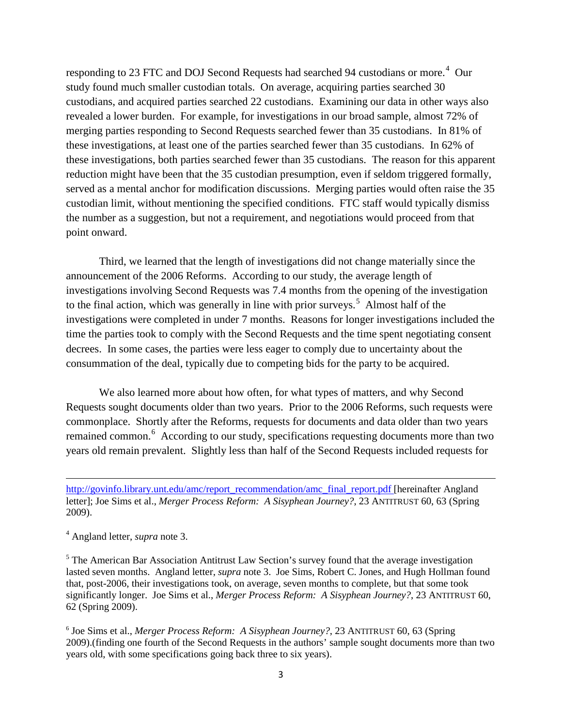responding to 23 FTC and DOJ Second Requests had searched 9[4](#page-2-0) custodians or more.<sup>4</sup> Our study found much smaller custodian totals. On average, acquiring parties searched 30 custodians, and acquired parties searched 22 custodians. Examining our data in other ways also revealed a lower burden. For example, for investigations in our broad sample, almost 72% of merging parties responding to Second Requests searched fewer than 35 custodians. In 81% of these investigations, at least one of the parties searched fewer than 35 custodians. In 62% of these investigations, both parties searched fewer than 35 custodians. The reason for this apparent reduction might have been that the 35 custodian presumption, even if seldom triggered formally, served as a mental anchor for modification discussions. Merging parties would often raise the 35 custodian limit, without mentioning the specified conditions. FTC staff would typically dismiss the number as a suggestion, but not a requirement, and negotiations would proceed from that point onward.

Third, we learned that the length of investigations did not change materially since the announcement of the 2006 Reforms. According to our study, the average length of investigations involving Second Requests was 7.4 months from the opening of the investigation to the final action, which was generally in line with prior surveys.<sup>[5](#page-2-1)</sup> Almost half of the investigations were completed in under 7 months. Reasons for longer investigations included the time the parties took to comply with the Second Requests and the time spent negotiating consent decrees. In some cases, the parties were less eager to comply due to uncertainty about the consummation of the deal, typically due to competing bids for the party to be acquired.

We also learned more about how often, for what types of matters, and why Second Requests sought documents older than two years. Prior to the 2006 Reforms, such requests were commonplace. Shortly after the Reforms, requests for documents and data older than two years remained common.<sup>[6](#page-2-2)</sup> According to our study, specifications requesting documents more than two years old remain prevalent. Slightly less than half of the Second Requests included requests for

[http://govinfo.library.unt.edu/amc/report\\_recommendation/amc\\_final\\_report.pdf](http://govinfo.library.unt.edu/amc/report_recommendation/amc_final_report.pdf) [hereinafter Angland letter]; Joe Sims et al., *Merger Process Reform: A Sisyphean Journey?*, 23 ANTITRUST 60, 63 (Spring 2009).

<span id="page-2-0"></span><sup>4</sup> Angland letter, *supra* note 3.

 $\overline{\phantom{a}}$ 

<span id="page-2-1"></span><sup>5</sup> The American Bar Association Antitrust Law Section's survey found that the average investigation lasted seven months. Angland letter, *supra* note 3. Joe Sims, Robert C. Jones, and Hugh Hollman found that, post-2006, their investigations took, on average, seven months to complete, but that some took significantly longer. Joe Sims et al., *Merger Process Reform: A Sisyphean Journey?*, 23 ANTITRUST 60, 62 (Spring 2009).

<span id="page-2-2"></span><sup>6</sup> Joe Sims et al., *Merger Process Reform: A Sisyphean Journey?*, 23 ANTITRUST 60, 63 (Spring 2009).(finding one fourth of the Second Requests in the authors' sample sought documents more than two years old, with some specifications going back three to six years).